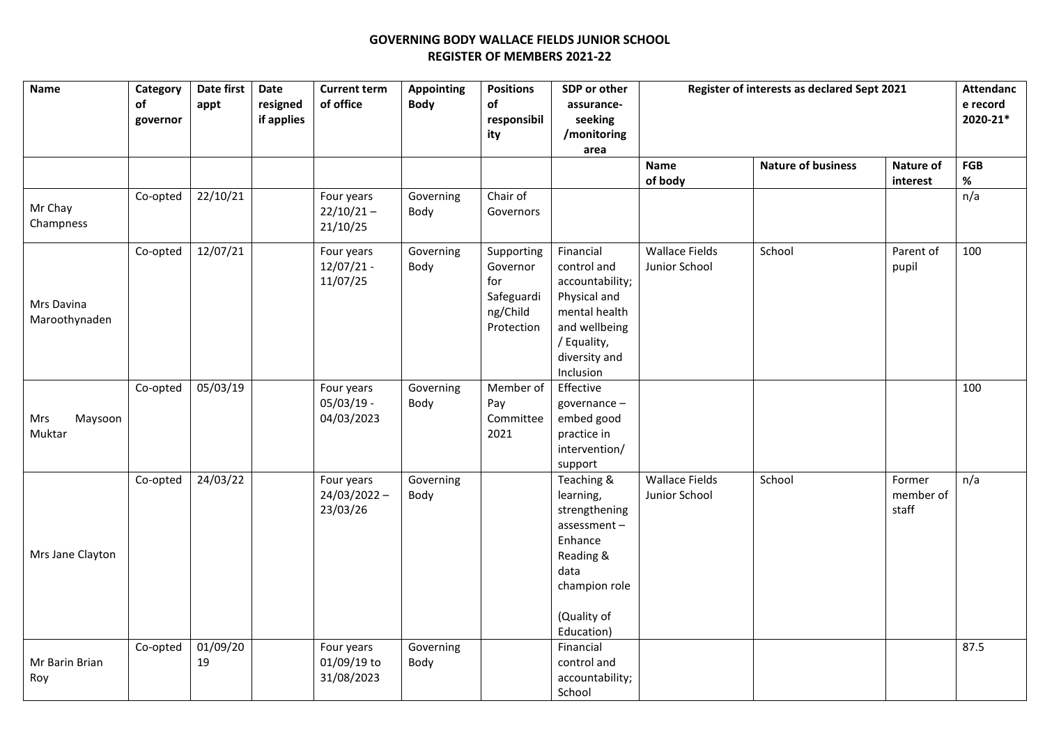## **GOVERNING BODY WALLACE FIELDS JUNIOR SCHOOL REGISTER OF MEMBERS 2021-22**

| Name                        | Category<br>of<br>governor | Date first<br>appt | Date<br>resigned<br>if applies | <b>Current term</b><br>of office         | <b>Appointing</b><br><b>Body</b> | <b>Positions</b><br>of<br>responsibil<br>ity                          | SDP or other<br>assurance-<br>seeking<br>/monitoring<br>area                                                                               | Register of interests as declared Sept 2021 |                           |                              | <b>Attendanc</b><br>e record<br>2020-21* |
|-----------------------------|----------------------------|--------------------|--------------------------------|------------------------------------------|----------------------------------|-----------------------------------------------------------------------|--------------------------------------------------------------------------------------------------------------------------------------------|---------------------------------------------|---------------------------|------------------------------|------------------------------------------|
|                             |                            |                    |                                |                                          |                                  |                                                                       |                                                                                                                                            | Name<br>of body                             | <b>Nature of business</b> | Nature of<br>interest        | FGB<br>$\%$                              |
| Mr Chay<br>Champness        | Co-opted                   | 22/10/21           |                                | Four years<br>$22/10/21 -$<br>21/10/25   | Governing<br>Body                | Chair of<br>Governors                                                 |                                                                                                                                            |                                             |                           |                              | n/a                                      |
| Mrs Davina<br>Maroothynaden | Co-opted                   | 12/07/21           |                                | Four years<br>$12/07/21 -$<br>11/07/25   | Governing<br>Body                | Supporting<br>Governor<br>for<br>Safeguardi<br>ng/Child<br>Protection | Financial<br>control and<br>accountability;<br>Physical and<br>mental health<br>and wellbeing<br>/ Equality,<br>diversity and<br>Inclusion | <b>Wallace Fields</b><br>Junior School      | School                    | Parent of<br>pupil           | 100                                      |
| Maysoon<br>Mrs<br>Muktar    | Co-opted                   | 05/03/19           |                                | Four years<br>$05/03/19 -$<br>04/03/2023 | Governing<br>Body                | Member of<br>Pay<br>Committee<br>2021                                 | Effective<br>governance-<br>embed good<br>practice in<br>intervention/<br>support                                                          |                                             |                           |                              | 100                                      |
| Mrs Jane Clayton            | Co-opted                   | 24/03/22           |                                | Four years<br>24/03/2022 -<br>23/03/26   | Governing<br>Body                |                                                                       | Teaching &<br>learning,<br>strengthening<br>assessment-<br>Enhance<br>Reading &<br>data<br>champion role<br>(Quality of<br>Education)      | <b>Wallace Fields</b><br>Junior School      | School                    | Former<br>member of<br>staff | n/a                                      |
| Mr Barin Brian<br>Roy       | Co-opted                   | 01/09/20<br>19     |                                | Four years<br>01/09/19 to<br>31/08/2023  | Governing<br>Body                |                                                                       | Financial<br>control and<br>accountability;<br>School                                                                                      |                                             |                           |                              | 87.5                                     |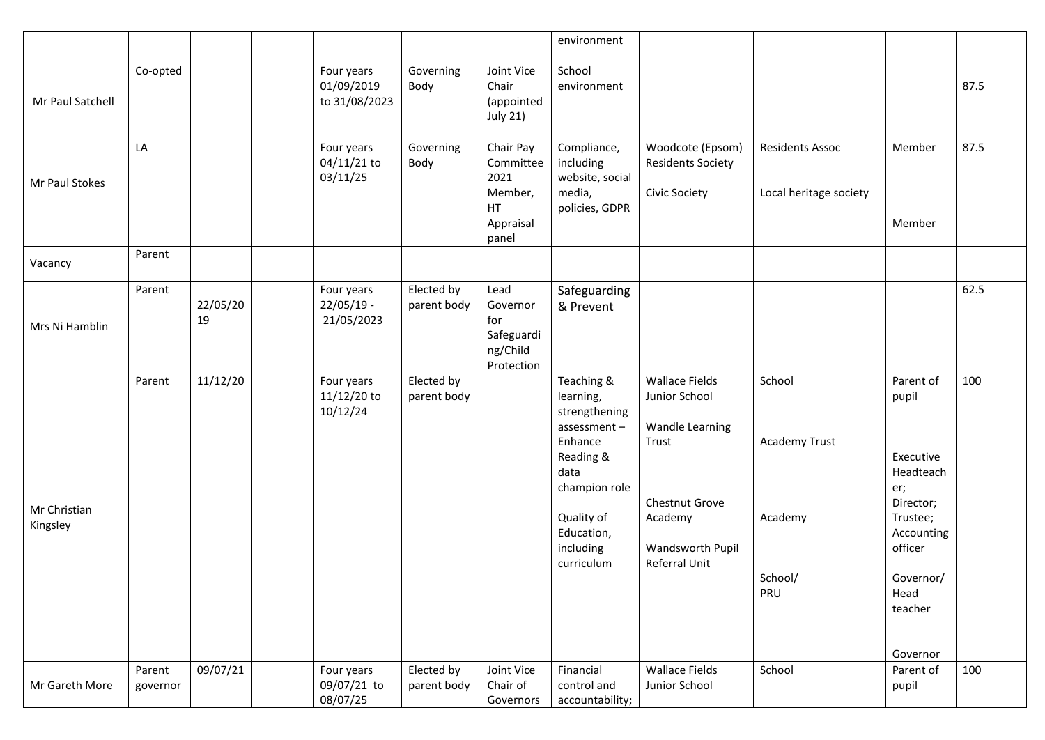|                          |                    |                |                                           |                           |                                                                       | environment                                                                                                                                                     |                                                                                                                                             |                                                             |                                                                                                                                                   |      |
|--------------------------|--------------------|----------------|-------------------------------------------|---------------------------|-----------------------------------------------------------------------|-----------------------------------------------------------------------------------------------------------------------------------------------------------------|---------------------------------------------------------------------------------------------------------------------------------------------|-------------------------------------------------------------|---------------------------------------------------------------------------------------------------------------------------------------------------|------|
| Mr Paul Satchell         | Co-opted           |                | Four years<br>01/09/2019<br>to 31/08/2023 | Governing<br>Body         | Joint Vice<br>Chair<br>(appointed<br><b>July 21)</b>                  | School<br>environment                                                                                                                                           |                                                                                                                                             |                                                             |                                                                                                                                                   | 87.5 |
| Mr Paul Stokes           | LA                 |                | Four years<br>04/11/21 to<br>03/11/25     | Governing<br>Body         | Chair Pay<br>Committee<br>2021<br>Member,<br>HT<br>Appraisal<br>panel | Compliance,<br>including<br>website, social<br>media,<br>policies, GDPR                                                                                         | Woodcote (Epsom)<br><b>Residents Society</b><br>Civic Society                                                                               | <b>Residents Assoc</b><br>Local heritage society            | Member<br>Member                                                                                                                                  | 87.5 |
| Vacancy                  | Parent             |                |                                           |                           |                                                                       |                                                                                                                                                                 |                                                                                                                                             |                                                             |                                                                                                                                                   |      |
| Mrs Ni Hamblin           | Parent             | 22/05/20<br>19 | Four years<br>$22/05/19 -$<br>21/05/2023  | Elected by<br>parent body | Lead<br>Governor<br>for<br>Safeguardi<br>ng/Child<br>Protection       | Safeguarding<br>& Prevent                                                                                                                                       |                                                                                                                                             |                                                             |                                                                                                                                                   | 62.5 |
| Mr Christian<br>Kingsley | Parent             | 11/12/20       | Four years<br>11/12/20 to<br>10/12/24     | Elected by<br>parent body |                                                                       | Teaching &<br>learning,<br>strengthening<br>assessment-<br>Enhance<br>Reading &<br>data<br>champion role<br>Quality of<br>Education,<br>including<br>curriculum | <b>Wallace Fields</b><br>Junior School<br><b>Wandle Learning</b><br>Trust<br>Chestnut Grove<br>Academy<br>Wandsworth Pupil<br>Referral Unit | School<br><b>Academy Trust</b><br>Academy<br>School/<br>PRU | Parent of<br>pupil<br>Executive<br>Headteach<br>er;<br>Director;<br>Trustee;<br>Accounting<br>officer<br>Governor/<br>Head<br>teacher<br>Governor | 100  |
| Mr Gareth More           | Parent<br>governor | 09/07/21       | Four years<br>09/07/21 to<br>08/07/25     | Elected by<br>parent body | Joint Vice<br>Chair of<br>Governors                                   | Financial<br>control and<br>accountability;                                                                                                                     | <b>Wallace Fields</b><br>Junior School                                                                                                      | School                                                      | Parent of<br>pupil                                                                                                                                | 100  |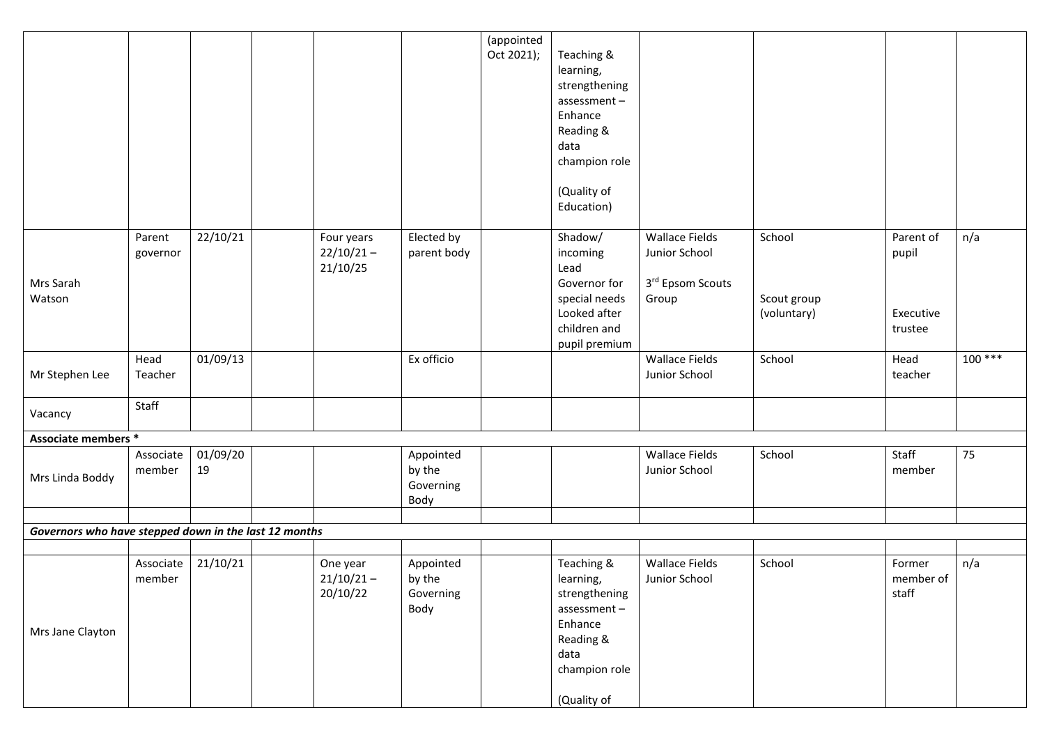|                                                       |           |          |              |             | (appointed<br>Oct 2021); | Teaching &           |                           |             |           |          |
|-------------------------------------------------------|-----------|----------|--------------|-------------|--------------------------|----------------------|---------------------------|-------------|-----------|----------|
|                                                       |           |          |              |             |                          | learning,            |                           |             |           |          |
|                                                       |           |          |              |             |                          | strengthening        |                           |             |           |          |
|                                                       |           |          |              |             |                          | assessment-          |                           |             |           |          |
|                                                       |           |          |              |             |                          | Enhance              |                           |             |           |          |
|                                                       |           |          |              |             |                          | Reading &            |                           |             |           |          |
|                                                       |           |          |              |             |                          | data                 |                           |             |           |          |
|                                                       |           |          |              |             |                          | champion role        |                           |             |           |          |
|                                                       |           |          |              |             |                          | (Quality of          |                           |             |           |          |
|                                                       |           |          |              |             |                          | Education)           |                           |             |           |          |
|                                                       |           |          |              |             |                          |                      |                           |             |           |          |
|                                                       | Parent    | 22/10/21 | Four years   | Elected by  |                          | Shadow/              | <b>Wallace Fields</b>     | School      | Parent of | n/a      |
|                                                       | governor  |          | $22/10/21 -$ | parent body |                          | incoming             | Junior School             |             | pupil     |          |
| Mrs Sarah                                             |           |          | 21/10/25     |             |                          | Lead<br>Governor for |                           |             |           |          |
| Watson                                                |           |          |              |             |                          | special needs        | 3rd Epsom Scouts<br>Group | Scout group |           |          |
|                                                       |           |          |              |             |                          | Looked after         |                           | (voluntary) | Executive |          |
|                                                       |           |          |              |             |                          | children and         |                           |             | trustee   |          |
|                                                       |           |          |              |             |                          | pupil premium        |                           |             |           |          |
|                                                       | Head      | 01/09/13 |              | Ex officio  |                          |                      | <b>Wallace Fields</b>     | School      | Head      | $100***$ |
| Mr Stephen Lee                                        | Teacher   |          |              |             |                          |                      | Junior School             |             | teacher   |          |
|                                                       | Staff     |          |              |             |                          |                      |                           |             |           |          |
| Vacancy                                               |           |          |              |             |                          |                      |                           |             |           |          |
| Associate members *                                   |           |          |              |             |                          |                      |                           |             |           |          |
|                                                       | Associate | 01/09/20 |              | Appointed   |                          |                      | <b>Wallace Fields</b>     | School      | Staff     | 75       |
| Mrs Linda Boddy                                       | member    | 19       |              | by the      |                          |                      | Junior School             |             | member    |          |
|                                                       |           |          |              | Governing   |                          |                      |                           |             |           |          |
|                                                       |           |          |              | Body        |                          |                      |                           |             |           |          |
| Governors who have stepped down in the last 12 months |           |          |              |             |                          |                      |                           |             |           |          |
|                                                       |           |          |              |             |                          |                      |                           |             |           |          |
|                                                       | Associate | 21/10/21 | One year     | Appointed   |                          | Teaching &           | <b>Wallace Fields</b>     | School      | Former    | n/a      |
|                                                       | member    |          | $21/10/21 -$ | by the      |                          | learning,            | Junior School             |             | member of |          |
|                                                       |           |          | 20/10/22     | Governing   |                          | strengthening        |                           |             | staff     |          |
|                                                       |           |          |              | Body        |                          | assessment-          |                           |             |           |          |
| Mrs Jane Clayton                                      |           |          |              |             |                          | Enhance              |                           |             |           |          |
|                                                       |           |          |              |             |                          | Reading &<br>data    |                           |             |           |          |
|                                                       |           |          |              |             |                          | champion role        |                           |             |           |          |
|                                                       |           |          |              |             |                          |                      |                           |             |           |          |
|                                                       |           |          |              |             |                          | (Quality of          |                           |             |           |          |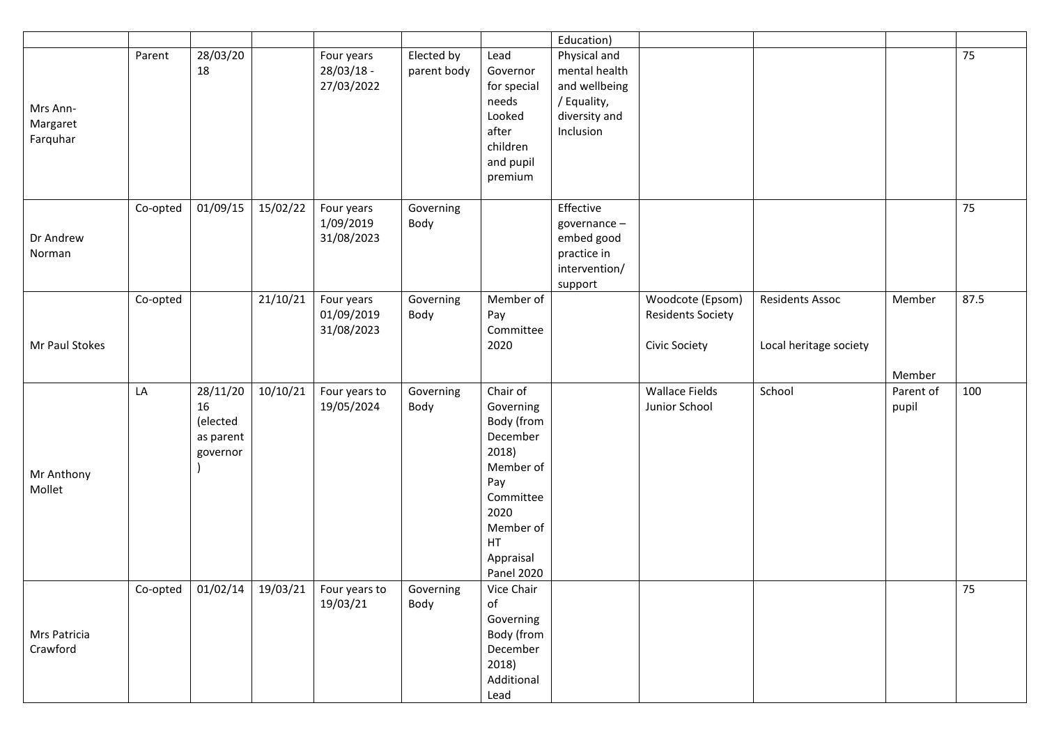|                |          |           |          |               |             |                   | Education)    |                          |                        |           |      |
|----------------|----------|-----------|----------|---------------|-------------|-------------------|---------------|--------------------------|------------------------|-----------|------|
|                | Parent   | 28/03/20  |          | Four years    | Elected by  | Lead              | Physical and  |                          |                        |           | 75   |
|                |          | 18        |          | $28/03/18 -$  | parent body | Governor          | mental health |                          |                        |           |      |
|                |          |           |          | 27/03/2022    |             | for special       | and wellbeing |                          |                        |           |      |
|                |          |           |          |               |             | needs             | / Equality,   |                          |                        |           |      |
| Mrs Ann-       |          |           |          |               |             | Looked            | diversity and |                          |                        |           |      |
| Margaret       |          |           |          |               |             | after             | Inclusion     |                          |                        |           |      |
| Farquhar       |          |           |          |               |             | children          |               |                          |                        |           |      |
|                |          |           |          |               |             | and pupil         |               |                          |                        |           |      |
|                |          |           |          |               |             | premium           |               |                          |                        |           |      |
|                |          |           |          |               |             |                   |               |                          |                        |           |      |
|                | Co-opted | 01/09/15  | 15/02/22 | Four years    | Governing   |                   | Effective     |                          |                        |           | 75   |
|                |          |           |          | 1/09/2019     | Body        |                   | governance-   |                          |                        |           |      |
| Dr Andrew      |          |           |          | 31/08/2023    |             |                   | embed good    |                          |                        |           |      |
| Norman         |          |           |          |               |             |                   | practice in   |                          |                        |           |      |
|                |          |           |          |               |             |                   | intervention/ |                          |                        |           |      |
|                |          |           |          |               |             |                   | support       |                          |                        |           |      |
|                | Co-opted |           | 21/10/21 | Four years    | Governing   | Member of         |               | Woodcote (Epsom)         | <b>Residents Assoc</b> | Member    | 87.5 |
|                |          |           |          | 01/09/2019    | Body        | Pay               |               | <b>Residents Society</b> |                        |           |      |
|                |          |           |          | 31/08/2023    |             | Committee         |               |                          |                        |           |      |
| Mr Paul Stokes |          |           |          |               |             | 2020              |               | Civic Society            | Local heritage society |           |      |
|                |          |           |          |               |             |                   |               |                          |                        | Member    |      |
|                | LA       | 28/11/20  | 10/10/21 | Four years to | Governing   | Chair of          |               | <b>Wallace Fields</b>    | School                 | Parent of | 100  |
|                |          | 16        |          | 19/05/2024    | Body        | Governing         |               | Junior School            |                        | pupil     |      |
|                |          | (elected  |          |               |             | Body (from        |               |                          |                        |           |      |
|                |          | as parent |          |               |             | December          |               |                          |                        |           |      |
|                |          | governor  |          |               |             | 2018)             |               |                          |                        |           |      |
|                |          |           |          |               |             | Member of         |               |                          |                        |           |      |
| Mr Anthony     |          |           |          |               |             | Pay               |               |                          |                        |           |      |
| Mollet         |          |           |          |               |             | Committee         |               |                          |                        |           |      |
|                |          |           |          |               |             | 2020              |               |                          |                        |           |      |
|                |          |           |          |               |             | Member of         |               |                          |                        |           |      |
|                |          |           |          |               |             | <b>HT</b>         |               |                          |                        |           |      |
|                |          |           |          |               |             | Appraisal         |               |                          |                        |           |      |
|                |          |           |          |               |             | <b>Panel 2020</b> |               |                          |                        |           |      |
|                |          |           |          |               | Governing   | Vice Chair        |               |                          |                        |           | 75   |
|                |          |           |          | 19/03/21      | Body        | of                |               |                          |                        |           |      |
|                |          |           |          |               |             | Governing         |               |                          |                        |           |      |
| Mrs Patricia   |          |           |          |               |             | Body (from        |               |                          |                        |           |      |
| Crawford       |          |           |          |               |             | December          |               |                          |                        |           |      |
|                |          |           |          |               |             | 2018)             |               |                          |                        |           |      |
|                |          |           |          |               |             | Additional        |               |                          |                        |           |      |
|                |          |           |          |               |             | Lead              |               |                          |                        |           |      |